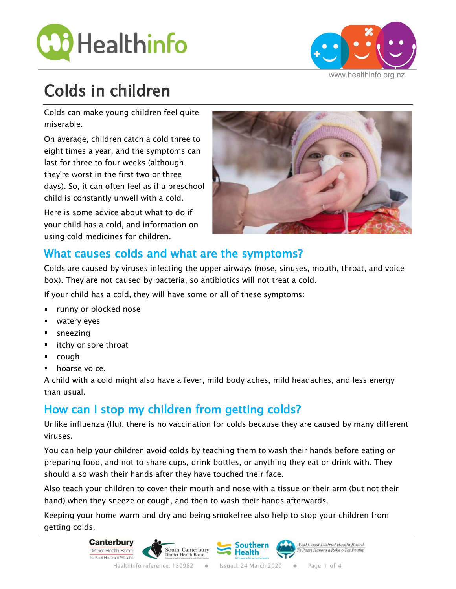



# Colds in children

Colds can make young children feel quite miserable.

On average, children catch a cold three to eight times a year, and the symptoms can last for three to four weeks (although they're worst in the first two or three days). So, it can often feel as if a preschool child is constantly unwell with a cold.

Here is some advice about what to do if your child has a cold, and information on using cold medicines for children.



## What causes colds and what are the symptoms?

Colds are caused by viruses infecting the upper airways (nose, sinuses, mouth, throat, and voice box). They are not caused by bacteria, so antibiotics will not treat a cold.

If your child has a cold, they will have some or all of these symptoms:

- **runny or blocked nose**
- **watery eyes**
- **sneezing**
- itchy or sore throat
- cough
- **hoarse voice.**

A child with a cold might also have a fever, mild body aches, mild headaches, and less energy than usual.

## How can I stop my children from getting colds?

Unlike influenza (flu), there is no vaccination for colds because they are caused by many different viruses.

You can help your children avoid colds by teaching them to wash their hands before eating or preparing food, and not to share cups, drink bottles, or anything they eat or drink with. They should also wash their hands after they have touched their face.

Also teach your children to cover their mouth and nose with a tissue or their arm (but not their hand) when they sneeze or cough, and then to wash their hands afterwards.

Keeping your home warm and dry and being smokefree also help to stop your children from getting colds.

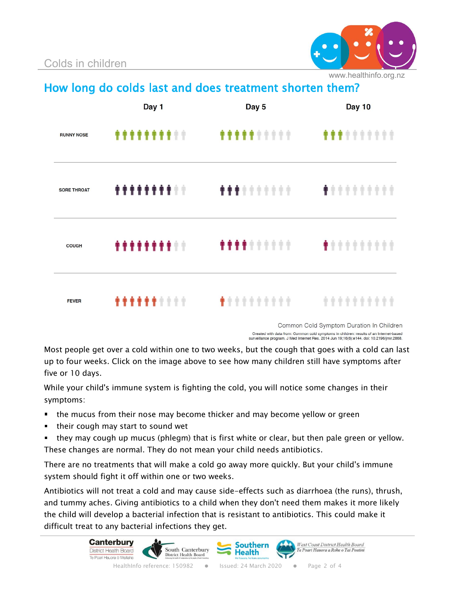

www.healthinfo.org.nz

How long do colds last and does treatment shorten them?

|                    | Day 1              | Day 5              | Day 10     |
|--------------------|--------------------|--------------------|------------|
| <b>RUNNY NOSE</b>  | <b></b>            | <b></b>            | <b></b>    |
| <b>SORE THROAT</b> | <b>********</b> ** |                    |            |
| <b>COUGH</b>       | **********         | <b>****</b> ****** | <b></b>    |
| <b>FEVER</b>       | <b></b>            | <b></b>            | ********** |

Common Cold Symptom Duration In Children .<br>Oreated with data from: Common cold symptoms in children: results of an Internet-based<br>surveillance program. J Med Internet Res. 2014 Jun 19;16(6):e144. doi: 10.2196/jmir.2868.

Most people get over a cold within one to two weeks, but the cough that goes with a cold can last up to four weeks. Click on the image above to see how many children still have symptoms after five or 10 days.

While your child's immune system is fighting the cold, you will notice some changes in their symptoms:

- **the mucus from their nose may become thicker and may become yellow or green**
- $\blacksquare$  their cough may start to sound wet
- **they may cough up mucus (phlegm) that is first white or clear, but then pale green or yellow.** These changes are normal. They do not mean your child needs antibiotics.

There are no treatments that will make a cold go away more quickly. But your child's immune system should fight it off within one or two weeks.

Antibiotics will not treat a cold and may cause side-effects such as diarrhoea (the runs), thrush, and tummy aches. Giving antibiotics to a child when they don't need them makes it more likely the child will develop a bacterial infection that is resistant to antibiotics. This could make it difficult treat to any bacterial infections they get.

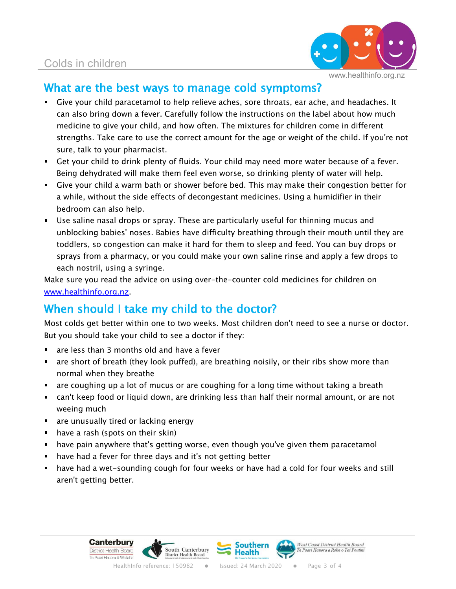

### What are the best ways to manage cold symptoms?

- Give your child paracetamol to help relieve aches, sore throats, ear ache, and headaches. It can also bring down a fever. Carefully follow the instructions on the label about how much medicine to give your child, and how often. The mixtures for children come in different strengths. Take care to use the correct amount for the age or weight of the child. If you're not sure, talk to your pharmacist.
- Get your child to drink plenty of fluids. Your child may need more water because of a fever. Being dehydrated will make them feel even worse, so drinking plenty of water will help.
- Give your child a warm bath or shower before bed. This may make their congestion better for a while, without the side effects of decongestant medicines. Using a humidifier in their bedroom can also help.
- Use saline nasal drops or spray. These are particularly useful for thinning mucus and unblocking babies' noses. Babies have difficulty breathing through their mouth until they are toddlers, so congestion can make it hard for them to sleep and feed. You can buy drops or sprays from a pharmacy, or you could make your own saline rinse and apply a few drops to each nostril, using a syringe.

Make sure you read the advice on using over-the-counter cold medicines for children on www.healthinfo.org.nz.

## When should I take my child to the doctor?

Most colds get better within one to two weeks. Most children don't need to see a nurse or doctor. But you should take your child to see a doctor if they:

- **a** are less than 3 months old and have a fever
- **The are short of breath (they look puffed), are breathing noisily, or their ribs show more than** normal when they breathe
- are coughing up a lot of mucus or are coughing for a long time without taking a breath
- can't keep food or liquid down, are drinking less than half their normal amount, or are not weeing much
- **are unusually tired or lacking energy**
- $\blacksquare$  have a rash (spots on their skin)
- **have pain anywhere that's getting worse, even though you've given them paracetamol**
- **have had a fever for three days and it's not getting better**
- have had a wet-sounding cough for four weeks or have had a cold for four weeks and still aren't getting better.